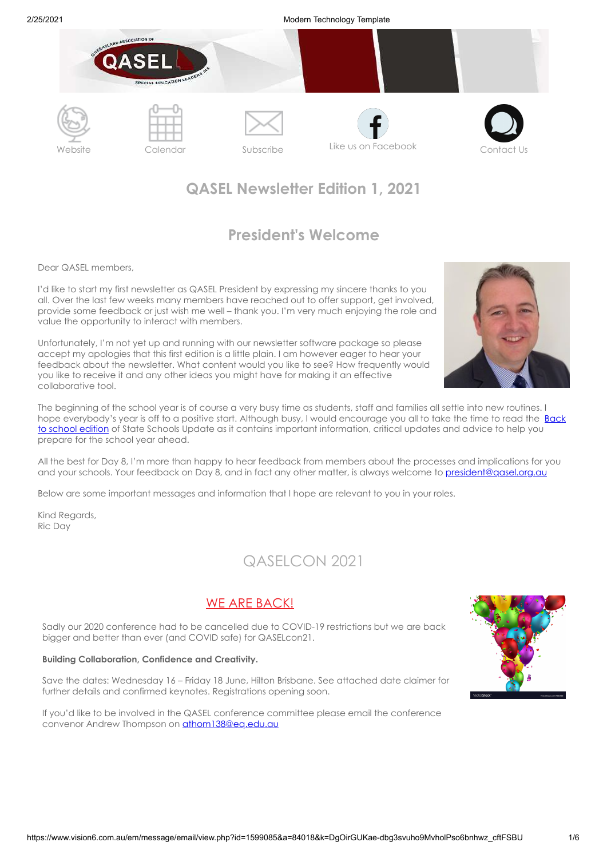

# **QASEL Newsletter Edition 1, 2021**

# **President's Welcome**

Dear QASEL members,

I'd like to start my first newsletter as QASEL President by expressing my sincere thanks to you all. Over the last few weeks many members have reached out to offer support, get involved, provide some feedback or just wish me well – thank you. I'm very much enjoying the role and value the opportunity to interact with members.

Unfortunately, I'm not yet up and running with our newsletter software package so please accept my apologies that this first edition is a little plain. I am however eager to hear your feedback about the newsletter. What content would you like to see? How frequently would you like to receive it and any other ideas you might have for making it an effective collaborative tool.

The beginning of the school year is of course a very busy time as students, staff and families all settle into new routines. I hope everybody's year is off to a positive start. Although busy, I would encourage you all to take the time to read the **Back** to school edition of State Schools Update as it contains important information, critical updates and advice to help you prepare for the school year ahead.

All the best for Day 8, I'm more than happy to hear feedback from members about the processes and implications for you and your schools. Your feedback on Day 8, and in fact any other matter, is always welcome to president@qasel.org.au

Below are some important messages and information that I hope are relevant to you in your roles.

Kind Regards, Ric Day

# QASELCON 2021

### WE ARE BACK!

Sadly our 2020 conference had to be cancelled due to COVID-19 restrictions but we are back bigger and better than ever (and COVID safe) for QASELcon21.

#### **Building Collaboration, Confidence and Creativity.**

Save the dates: Wednesday 16 – Friday 18 June, Hilton Brisbane. See attached date claimer for further details and confirmed keynotes. Registrations opening soon.

If you'd like to be involved in the QASEL conference committee please email the conference convenor Andrew Thompson on **[athom138@eq.edu.au](mailto:athom138@eq.edu.au)** 



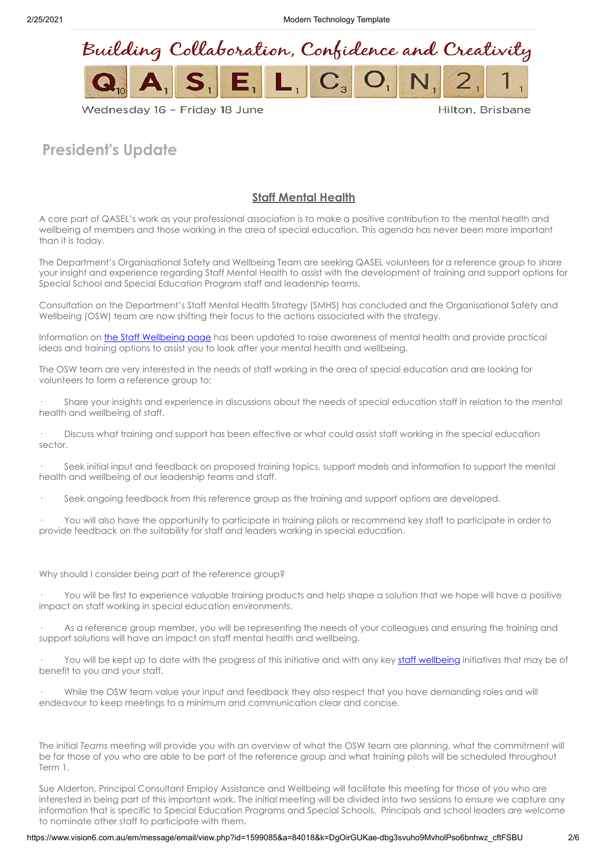2/25/2021 Modern Technology Template



### Wednesday 16 - Friday 18 June

Hilton, Brisbane

# **President's Update**

### **Staff Mental Health**

A core part of QASEL's work as your professional association is to make a positive contribution to the mental health and wellbeing of members and those working in the area of special education. This agenda has never been more important than it is today.

The Department's Organisational Safety and Wellbeing Team are seeking QASEL volunteers for a reference group to share your insight and experience regarding Staff Mental Health to assist with the development of training and support options for Special School and Special Education Program staff and leadership teams.

Consultation on the Department's Staff Mental Health Strategy (SMHS) has concluded and the Organisational Safety and Wellbeing (OSW) team are now shifting their focus to the actions associated with the strategy.

Information on [the Staff Wellbeing page](https://intranet.qed.qld.gov.au/Services/HumanResources/payrollhr/healthwellbeing/staffwellbeing/planningstaffwellbeingprogram/Pages/psychologicalwellbeing.aspx) has been updated to raise awareness of mental health and provide practical ideas and training options to assist you to look after your mental health and wellbeing.

The OSW team are very interested in the needs of staff working in the area of special education and are looking for volunteers to form a reference group to:

· Share your insights and experience in discussions about the needs of special education staff in relation to the mental health and wellbeing of staff.

· Discuss what training and support has been effective or what could assist staff working in the special education sector.

Seek initial input and feedback on proposed training topics, support models and information to support the mental health and wellbeing of our leadership teams and staff.

Seek ongoing feedback from this reference group as the training and support options are developed.

You will also have the opportunity to participate in training pilots or recommend key staff to participate in order to provide feedback on the suitability for staff and leaders working in special education.

#### Why should I consider being part of the reference group?

You will be first to experience valuable training products and help shape a solution that we hope will have a positive impact on staff working in special education environments.

As a reference group member, you will be representing the needs of your colleagues and ensuring the training and support solutions will have an impact on staff mental health and wellbeing.

You will be kept up to date with the progress of this initiative and with any key [staff wellbeing](https://intranet.qed.qld.gov.au/Services/HumanResources/payrollhr/healthwellbeing/staffwellbeing/planningstaffwellbeingprogram/Pages/psychologicalwellbeing.aspx) initiatives that may be of benefit to you and your staff.

While the OSW team value your input and feedback they also respect that you have demanding roles and will endeavour to keep meetings to a minimum and communication clear and concise.

The initial *Teams* meeting will provide you with an overview of what the OSW team are planning, what the commitment will be for those of you who are able to be part of the reference group and what training pilots will be scheduled throughout Term 1.

Sue Alderton, Principal Consultant Employ Assistance and Wellbeing will facilitate this meeting for those of you who are interested in being part of this important work. The initial meeting will be divided into two sessions to ensure we capture any information that is specific to Special Education Programs and Special Schools. Principals and school leaders are welcome to nominate other staff to participate with them.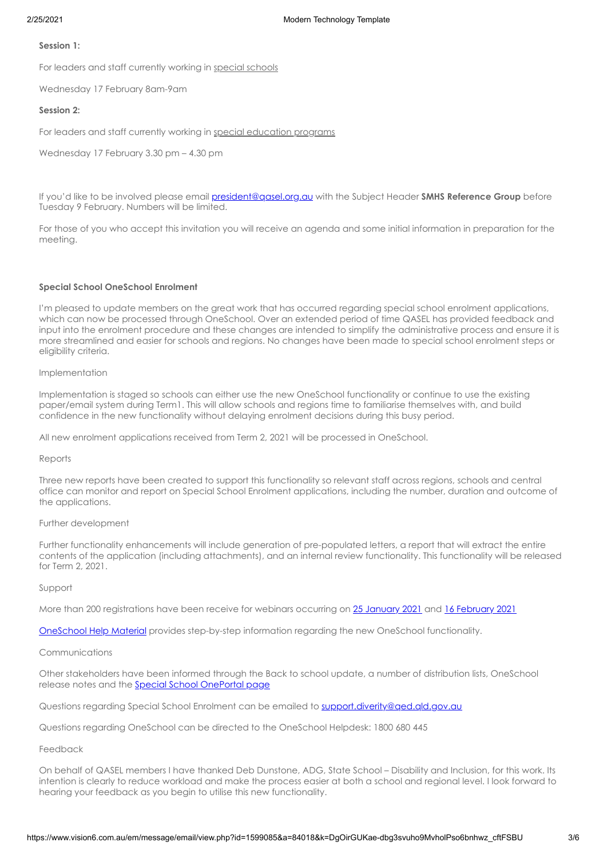#### **Session 1:**

For leaders and staff currently working in special schools

Wednesday 17 February 8am-9am

### **Session 2:**

For leaders and staff currently working in special education programs

Wednesday 17 February 3.30 pm – 4.30 pm

If you'd like to be involved please email [president@qasel.org.au](mailto:president@qasel.org.au) with the Subject Header **SMHS Reference Group** before Tuesday 9 February. Numbers will be limited.

For those of you who accept this invitation you will receive an agenda and some initial information in preparation for the meeting.

### **Special School OneSchool Enrolment**

I'm pleased to update members on the great work that has occurred regarding special school enrolment applications, which can now be processed through OneSchool. Over an extended period of time QASEL has provided feedback and input into the enrolment procedure and these changes are intended to simplify the administrative process and ensure it is more streamlined and easier for schools and regions. No changes have been made to special school enrolment steps or eligibility criteria.

#### Implementation

Implementation is staged so schools can either use the new OneSchool functionality or continue to use the existing paper/email system during Term1. This will allow schools and regions time to familiarise themselves with, and build confidence in the new functionality without delaying enrolment decisions during this busy period.

All new enrolment applications received from Term 2, 2021 will be processed in OneSchool.

#### Reports

Three new reports have been created to support this functionality so relevant staff across regions, schools and central office can monitor and report on Special School Enrolment applications, including the number, duration and outcome of the applications.

#### Further development

Further functionality enhancements will include generation of pre-populated letters, a report that will extract the entire contents of the application (including attachments), and an internal review functionality. This functionality will be released for Term 2, 2021.

#### Support

More than 200 registrations have been receive for webinars occurring on [25 January 2021](https://staff.learningplace.eq.edu.au/OneChannel/Pages/Program.aspx?cid=4&eid=28781) and [16 February 2021](https://staff.learningplace.eq.edu.au/OneChannel/Pages/Program.aspx?cid=4&eid=28782) 

[OneSchool Help Material](https://oneschoolhelp.eq.edu.au/student/special-school-enrolment) provides step-by-step information regarding the new OneSchool functionality.

#### Communications

Other stakeholders have been informed through the Back to school update, a number of distribution lists, OneSchool release notes and the [Special School OnePortal page](https://intranet.qed.qld.gov.au/Students/LearningandDisabilitySupport/Pages/queensland-state-special-schools.aspx)

Questions regarding Special School Enrolment can be emailed to support.diverity@ged.gld.gov.au

Questions regarding OneSchool can be directed to the OneSchool Helpdesk: 1800 680 445

### Feedback

On behalf of QASEL members I have thanked Deb Dunstone, ADG, State School – Disability and Inclusion, for this work. Its intention is clearly to reduce workload and make the process easier at both a school and regional level. I look forward to hearing your feedback as you begin to utilise this new functionality.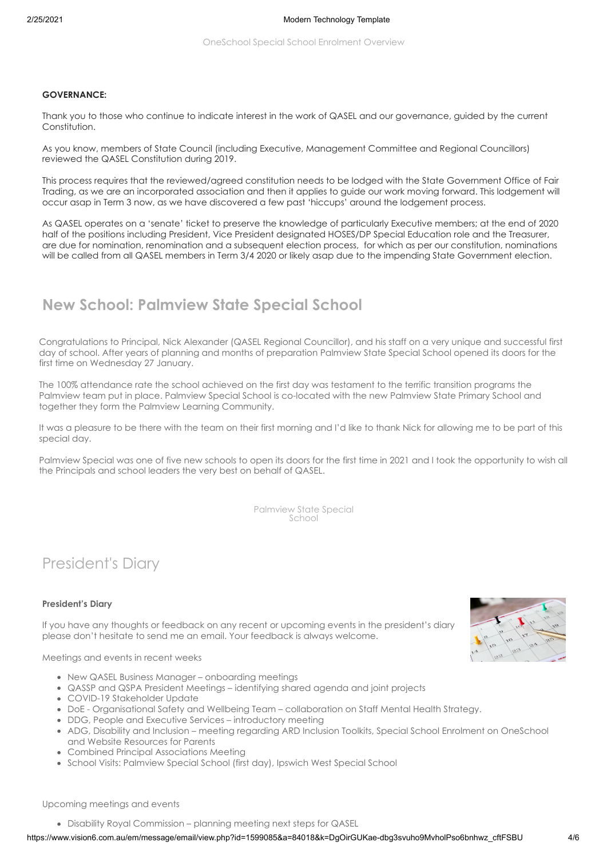#### **GOVERNANCE:**

Thank you to those who continue to indicate interest in the work of QASEL and our governance, guided by the current Constitution.

As you know, members of State Council (including Executive, Management Committee and Regional Councillors) reviewed the QASEL Constitution during 2019.

This process requires that the reviewed/agreed constitution needs to be lodged with the State Government Office of Fair Trading, as we are an incorporated association and then it applies to guide our work moving forward. This lodgement will occur asap in Term 3 now, as we have discovered a few past 'hiccups' around the lodgement process.

As QASEL operates on a 'senate' ticket to preserve the knowledge of particularly Executive members; at the end of 2020 half of the positions including President, Vice President designated HOSES/DP Special Education role and the Treasurer, are due for nomination, renomination and a subsequent election process, for which as per our constitution, nominations will be called from all QASEL members in Term 3/4 2020 or likely asap due to the impending State Government election.

# **New School: Palmview State Special School**

Congratulations to Principal, Nick Alexander (QASEL Regional Councillor), and his staff on a very unique and successful first day of school. After years of planning and months of preparation Palmview State Special School opened its doors for the first time on Wednesday 27 January.

The 100% attendance rate the school achieved on the first day was testament to the terrific transition programs the Palmview team put in place. Palmview Special School is co-located with the new Palmview State Primary School and together they form the Palmview Learning Community.

It was a pleasure to be there with the team on their first morning and I'd like to thank Nick for allowing me to be part of this special day.

Palmview Special was one of five new schools to open its doors for the first time in 2021 and I took the opportunity to wish all the Principals and school leaders the very best on behalf of QASEL.

> [Palmview State Special](https://qed.qld.gov.au/programs-initiatives/department/building-education/new-schools-for-2021/palmview-state-special-school) School

# President's Diary

#### **President's Diary**

If you have any thoughts or feedback on any recent or upcoming events in the president's diary please don't hesitate to send me an email. Your feedback is always welcome.

Meetings and events in recent weeks

- New QASEL Business Manager onboarding meetings
- QASSP and QSPA President Meetings identifying shared agenda and joint projects
- COVID-19 Stakeholder Update
- DoE Organisational Safety and Wellbeing Team collaboration on Staff Mental Health Strategy.
- DDG, People and Executive Services introductory meeting
- ADG, Disability and Inclusion meeting regarding ARD Inclusion Toolkits, Special School Enrolment on OneSchool and Website Resources for Parents
- Combined Principal Associations Meeting
- School Visits: Palmview Special School (first day), Ipswich West Special School



Upcoming meetings and events

Disability Royal Commission – planning meeting next steps for QASEL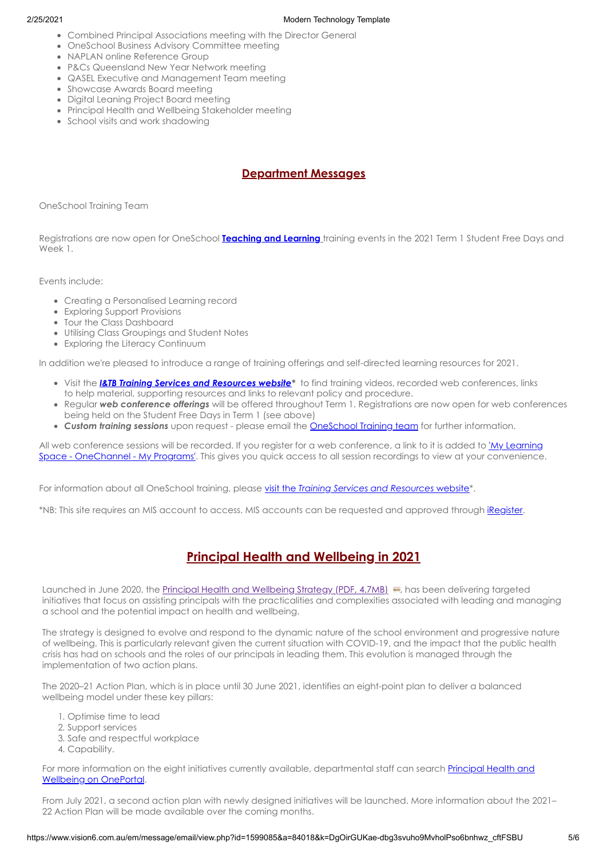### 2/25/2021 Modern Technology Template

- Combined Principal Associations meeting with the Director General
- OneSchool Business Advisory Committee meeting
- NAPLAN online Reference Group
- P&Cs Queensland New Year Network meeting
- QASEL Executive and Management Team meeting
- Showcase Awards Board meeting
- Digital Leaning Project Board meeting
- Principal Health and Wellbeing Stakeholder meeting
- School visits and work shadowing

## **Department Messages**

OneSchool Training Team

Registrations are now open for OneSchool **[Teaching and Learning](https://qedu.sharepoint.com/sites/DC2/_layouts/15/Events.aspx?ListGuid=f9fc94e4-021e-466e-a97e-af61d56aa83c)** training events in the 2021 Term 1 Student Free Days and Week 1

Events include:

- Creating a Personalised Learning record
- Exploring Support Provisions
- Tour the Class Dashboard
- Utilising Class Groupings and Student Notes
- Exploring the Literacy Continuum

In addition we're pleased to introduce a range of training offerings and self-directed learning resources for 2021.

- Visit the *[I&TB Training Services and Resources](https://qedu.sharepoint.com/sites/DC2/SitePages/oneschool/) website\** to find training videos, recorded web conferences, links to help material, supporting resources and links to relevant policy and procedure.
- Regular *web conference offerings* will be offered throughout Term 1. Registrations are now open for web conferences being held on the Student Free Days in Term 1 (see above)
- *Custom training sessions* upon request please email the [OneSchool Training team](mailto:Training_Workshops.OneSchool@qed.qld.gov.au?subject=Vision6%20-%20OneSchool%20Training%20Enquiry) for further information.

All web conference sessions will be recorded. If you register for a web conference, a link to it is added to 'My Learning [Space - OneChannel - My Programs'. This gives you quick access to all session recordings to view at your convenience](https://staff.learningplace.eq.edu.au/MyLearningSpace/Pages/MyPrograms.aspx).

For information about all OneSchool training, please visit the *[Training Services and Resources](https://qedu.sharepoint.com/sites/DC2/SitePages/oneschool/)* website\*.

\*NB: This site requires an MIS account to access. MIS accounts can be requested and approved through [iRegister.](https://qlddet.service-now.com/sco/?id=catalog_kb_article&sys_id=4568dfc628825c002b3eacf90611030e)

# **Principal Health and Wellbeing in 2021**

Launched in June 2020, the [Principal Health and Wellbeing Strategy \(PDF, 4.7MB\)](https://qed.qld.gov.au/programsinitiatives/Documents/principal-health-wellbeing-strategy.pdf) **and has been delivering targeted** initiatives that focus on assisting principals with the practicalities and complexities associated with leading and managing a school and the potential impact on health and wellbeing.

The strategy is designed to evolve and respond to the dynamic nature of the school environment and progressive nature of wellbeing. This is particularly relevant given the current situation with COVID-19, and the impact that the public health crisis has had on schools and the roles of our principals in leading them. This evolution is managed through the implementation of two action plans.

The 2020–21 Action Plan, which is in place until 30 June 2021, identifies an eight-point plan to deliver a balanced wellbeing model under these key pillars:

- 1. Optimise time to lead
- 2. Support services
- 3. Safe and respectful workplace
- 4. Capability.

[For more information on the eight initiatives currently available, departmental staff can search Principal Health and](https://intranet.qed.qld.gov.au/about/PrioritiesandInitiatives/Pages/principal-health-and-wellbeing.aspx) Wellbeing on OnePortal.

From July 2021, a second action plan with newly designed initiatives will be launched. More information about the 2021– 22 Action Plan will be made available over the coming months.